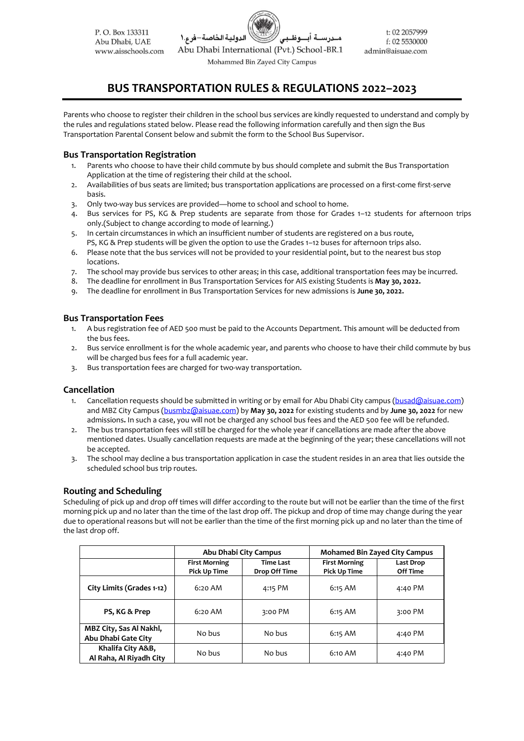

# **BUS TRANSPORTATION RULES & REGULATIONS 2022–2023**

Parents who choose to register their children in the school bus services are kindly requested to understand and comply by the rules and regulations stated below. Please read the following information carefully and then sign the Bus Transportation Parental Consent below and submit the form to the School Bus Supervisor.

# **Bus Transportation Registration**

- 1. Parents who choose to have their child commute by bus should complete and submit the Bus Transportation Application at the time of registering their child at the school.
- 2. Availabilities of bus seats are limited; bus transportation applications are processed on a first‐come first‐serve basis.
- 3. Only two-way bus services are provided—home to school and school to home.
- 4. Bus services for PS, KG & Prep students are separate from those for Grades 1–12 students for afternoon trips only.(Subject to change according to mode of learning.)
- 5. In certain circumstances in which an insufficient number of students are registered on a bus route, PS, KG & Prep students will be given the option to use the Grades 1–12 buses for afternoon trips also.
- 6. Please note that the bus services will not be provided to your residential point, but to the nearest bus stop locations.
- 7. The school may provide bus services to other areas; in this case, additional transportation fees may be incurred.
- 8. The deadline for enrollment in Bus Transportation Services for AIS existing Students is **May 30, 2022.**
- 9. The deadline for enrollment in Bus Transportation Services for new admissions is **June 30, 2022.**

### **Bus Transportation Fees**

- 1. A bus registration fee of AED 500 must be paid to the Accounts Department. This amount will be deducted from the bus fees.
- 2. Bus service enrollment is for the whole academic year, and parents who choose to have their child commute by bus will be charged bus fees for a full academic year.
- 3. Bus transportation fees are charged for two‐way transportation.

#### **Cancellation**

- 1. Cancellation requests should be submitted in writing or by email for Abu Dhabi City campus [\(busad@aisuae.com\)](mailto:busad@aisuae.com) and MBZ City Campus [\(busmbz@aisuae.com\)](mailto:busmbz@aisuae.com) by **May 30, 2022** for existing students and by **June 30, 2022** for new admissions**.** In such a case, you will not be charged any school bus fees and the AED 500 fee will be refunded.
- 2. The bus transportation fees will still be charged for the whole year if cancellations are made after the above mentioned dates. Usually cancellation requests are made at the beginning of the year; these cancellations will not be accepted.
- 3. The school may decline a bus transportation application in case the student resides in an area that lies outside the scheduled school bus trip routes.

# **Routing and Scheduling**

Scheduling of pick up and drop off times will differ according to the route but will not be earlier than the time of the first morning pick up and no later than the time of the last drop off. The pickup and drop of time may change during the year due to operational reasons but will not be earlier than the time of the first morning pick up and no later than the time of the last drop off.

|                                                | Abu Dhabi City Campus                       |                                   | <b>Mohamed Bin Zayed City Campus</b>        |                       |
|------------------------------------------------|---------------------------------------------|-----------------------------------|---------------------------------------------|-----------------------|
|                                                | <b>First Morning</b><br><b>Pick Up Time</b> | <b>Time Last</b><br>Drop Off Time | <b>First Morning</b><br><b>Pick Up Time</b> | Last Drop<br>Off Time |
| City Limits (Grades 1-12)                      | 6:20 AM                                     | 4:15 PM                           | 6:15 AM                                     | 4:40 PM               |
| PS, KG & Prep                                  | 6:20 AM                                     | 3:00 PM                           | 6:15 AM                                     | 3:00 PM               |
| MBZ City, Sas Al Nakhl,<br>Abu Dhabi Gate City | No bus                                      | No bus                            | 6:15 AM                                     | 4:40 PM               |
| Khalifa City A&B,<br>Al Raha, Al Riyadh City   | No bus                                      | No bus                            | 6:10 AM                                     | 4:40 PM               |